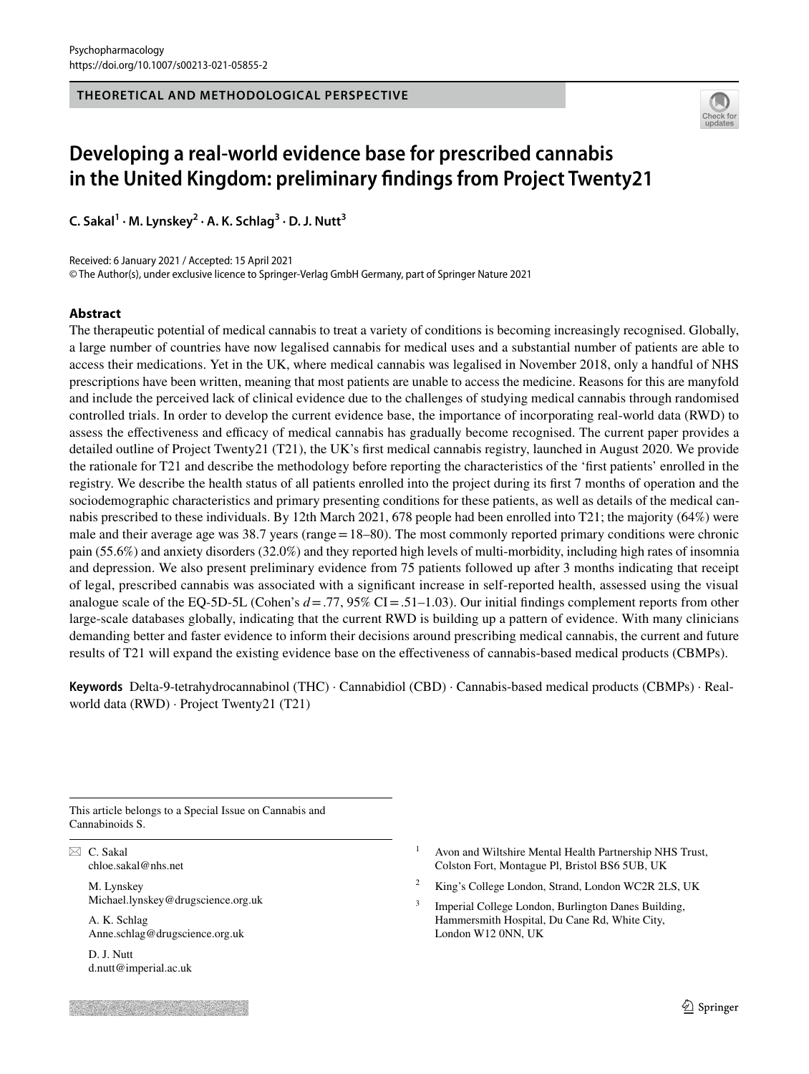**THEORETICAL AND METHODOLOGICAL PERSPECTIVE**



# **Developing a real‑world evidence base for prescribed cannabis in the United Kingdom: preliminary fndings from Project Twenty21**

**C. Sakal<sup>1</sup> · M. Lynskey<sup>2</sup> · A. K. Schlag3 · D. J. Nutt3**

Received: 6 January 2021 / Accepted: 15 April 2021

© The Author(s), under exclusive licence to Springer-Verlag GmbH Germany, part of Springer Nature 2021

## **Abstract**

The therapeutic potential of medical cannabis to treat a variety of conditions is becoming increasingly recognised. Globally, a large number of countries have now legalised cannabis for medical uses and a substantial number of patients are able to access their medications. Yet in the UK, where medical cannabis was legalised in November 2018, only a handful of NHS prescriptions have been written, meaning that most patients are unable to access the medicine. Reasons for this are manyfold and include the perceived lack of clinical evidence due to the challenges of studying medical cannabis through randomised controlled trials. In order to develop the current evidence base, the importance of incorporating real-world data (RWD) to assess the effectiveness and efficacy of medical cannabis has gradually become recognised. The current paper provides a detailed outline of Project Twenty21 (T21), the UK's frst medical cannabis registry, launched in August 2020. We provide the rationale for T21 and describe the methodology before reporting the characteristics of the 'frst patients' enrolled in the registry. We describe the health status of all patients enrolled into the project during its frst 7 months of operation and the sociodemographic characteristics and primary presenting conditions for these patients, as well as details of the medical cannabis prescribed to these individuals. By 12th March 2021, 678 people had been enrolled into T21; the majority (64%) were male and their average age was 38.7 years (range = 18–80). The most commonly reported primary conditions were chronic pain (55.6%) and anxiety disorders (32.0%) and they reported high levels of multi-morbidity, including high rates of insomnia and depression. We also present preliminary evidence from 75 patients followed up after 3 months indicating that receipt of legal, prescribed cannabis was associated with a signifcant increase in self-reported health, assessed using the visual analogue scale of the EQ-5D-5L (Cohen's  $d = .77, 95\%$  CI $= .51-1.03$ ). Our initial findings complement reports from other large-scale databases globally, indicating that the current RWD is building up a pattern of evidence. With many clinicians demanding better and faster evidence to inform their decisions around prescribing medical cannabis, the current and future results of T21 will expand the existing evidence base on the efectiveness of cannabis-based medical products (CBMPs).

**Keywords** Delta-9-tetrahydrocannabinol (THC) · Cannabidiol (CBD) · Cannabis-based medical products (CBMPs) · Realworld data (RWD) · Project Twenty21 (T21)

This article belongs to a Special Issue on Cannabis and Cannabinoids S.

 $\boxtimes$  C. Sakal chloe.sakal@nhs.net

> M. Lynskey Michael.lynskey@drugscience.org.uk

A. K. Schlag Anne.schlag@drugscience.org.uk

D. J. Nutt d.nutt@imperial.ac.uk

- Avon and Wiltshire Mental Health Partnership NHS Trust, Colston Fort, Montague Pl, Bristol BS6 5UB, UK
- <sup>2</sup> King's College London, Strand, London WC2R 2LS, UK
- <sup>3</sup> Imperial College London, Burlington Danes Building, Hammersmith Hospital, Du Cane Rd, White City, London W12 0NN, UK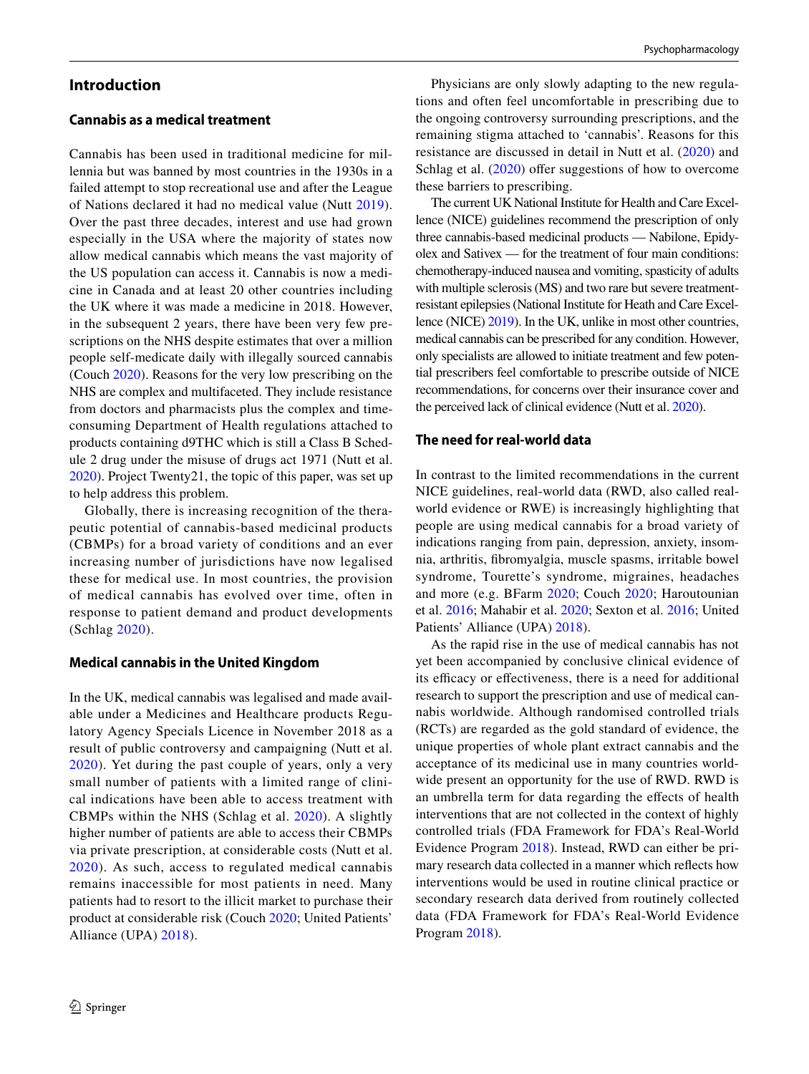### **Introduction**

# **Cannabis as a medical treatment**

Cannabis has been used in traditional medicine for millennia but was banned by most countries in the 1930s in a failed attempt to stop recreational use and after the League of Nations declared it had no medical value (Nutt [2019](#page-8-0)). Over the past three decades, interest and use had grown especially in the USA where the majority of states now allow medical cannabis which means the vast majority of the US population can access it. Cannabis is now a medicine in Canada and at least 20 other countries including the UK where it was made a medicine in 2018. However, in the subsequent 2 years, there have been very few prescriptions on the NHS despite estimates that over a million people self-medicate daily with illegally sourced cannabis (Couch [2020\)](#page-8-1). Reasons for the very low prescribing on the NHS are complex and multifaceted. They include resistance from doctors and pharmacists plus the complex and timeconsuming Department of Health regulations attached to products containing d9THC which is still a Class B Schedule 2 drug under the misuse of drugs act 1971 (Nutt et al. [2020](#page-8-2)). Project Twenty21, the topic of this paper, was set up to help address this problem.

Globally, there is increasing recognition of the therapeutic potential of cannabis-based medicinal products (CBMPs) for a broad variety of conditions and an ever increasing number of jurisdictions have now legalised these for medical use. In most countries, the provision of medical cannabis has evolved over time, often in response to patient demand and product developments (Schlag [2020](#page-8-3)).

#### **Medical cannabis in the United Kingdom**

In the UK, medical cannabis was legalised and made available under a Medicines and Healthcare products Regulatory Agency Specials Licence in November 2018 as a result of public controversy and campaigning (Nutt et al. [2020](#page-8-2)). Yet during the past couple of years, only a very small number of patients with a limited range of clinical indications have been able to access treatment with CBMPs within the NHS (Schlag et al. [2020\)](#page-8-4). A slightly higher number of patients are able to access their CBMPs via private prescription, at considerable costs (Nutt et al. [2020\)](#page-8-2). As such, access to regulated medical cannabis remains inaccessible for most patients in need. Many patients had to resort to the illicit market to purchase their product at considerable risk (Couch [2020;](#page-8-1) United Patients' Alliance (UPA) [2018\)](#page-8-5).

Physicians are only slowly adapting to the new regulations and often feel uncomfortable in prescribing due to the ongoing controversy surrounding prescriptions, and the remaining stigma attached to 'cannabis'. Reasons for this resistance are discussed in detail in Nutt et al. ([2020](#page-8-2)) and Schlag et al.  $(2020)$  offer suggestions of how to overcome these barriers to prescribing.

The current UK National Institute for Health and Care Excellence (NICE) guidelines recommend the prescription of only three cannabis-based medicinal products — Nabilone, Epidyolex and Sativex — for the treatment of four main conditions: chemotherapy-induced nausea and vomiting, spasticity of adults with multiple sclerosis (MS) and two rare but severe treatmentresistant epilepsies (National Institute for Heath and Care Excellence (NICE) [2019\)](#page-8-6). In the UK, unlike in most other countries, medical cannabis can be prescribed for any condition. However, only specialists are allowed to initiate treatment and few potential prescribers feel comfortable to prescribe outside of NICE recommendations, for concerns over their insurance cover and the perceived lack of clinical evidence (Nutt et al. [2020](#page-8-2)).

### **The need for real‑world data**

In contrast to the limited recommendations in the current NICE guidelines, real-world data (RWD, also called realworld evidence or RWE) is increasingly highlighting that people are using medical cannabis for a broad variety of indications ranging from pain, depression, anxiety, insomnia, arthritis, fbromyalgia, muscle spasms, irritable bowel syndrome, Tourette's syndrome, migraines, headaches and more (e.g. BFarm [2020;](#page-7-0) Couch [2020;](#page-8-1) Haroutounian et al. [2016;](#page-8-7) Mahabir et al. [2020](#page-8-8); Sexton et al. [2016;](#page-8-9) United Patients' Alliance (UPA) [2018](#page-8-5)).

As the rapid rise in the use of medical cannabis has not yet been accompanied by conclusive clinical evidence of its efficacy or effectiveness, there is a need for additional research to support the prescription and use of medical cannabis worldwide. Although randomised controlled trials (RCTs) are regarded as the gold standard of evidence, the unique properties of whole plant extract cannabis and the acceptance of its medicinal use in many countries worldwide present an opportunity for the use of RWD. RWD is an umbrella term for data regarding the efects of health interventions that are not collected in the context of highly controlled trials (FDA Framework for FDA's Real-World Evidence Program [2018\)](#page-8-10). Instead, RWD can either be primary research data collected in a manner which refects how interventions would be used in routine clinical practice or secondary research data derived from routinely collected data (FDA Framework for FDA's Real-World Evidence Program [2018\)](#page-8-10).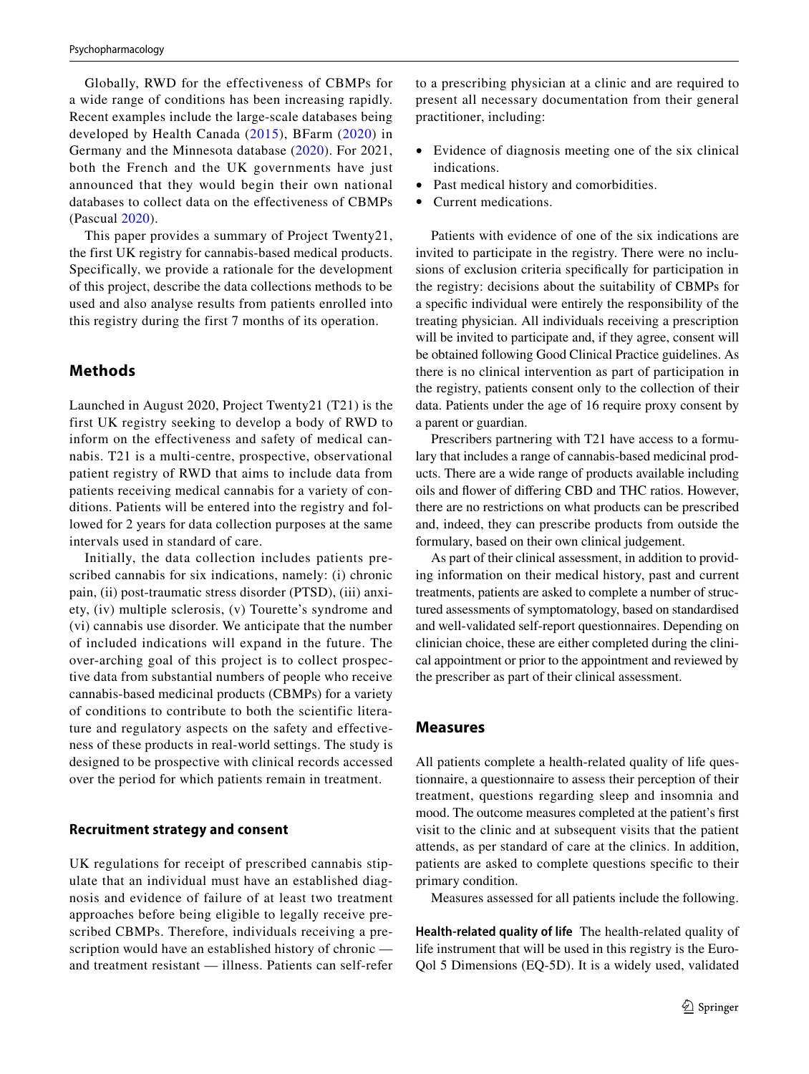Globally, RWD for the effectiveness of CBMPs for a wide range of conditions has been increasing rapidly. Recent examples include the large-scale databases being developed by Health Canada ([2015\)](#page-8-11), BFarm [\(2020\)](#page-7-0) in Germany and the Minnesota database ([2020\)](#page-8-12). For 2021, both the French and the UK governments have just announced that they would begin their own national databases to collect data on the effectiveness of CBMPs (Pascual [2020](#page-8-13)).

This paper provides a summary of Project Twenty21, the first UK registry for cannabis-based medical products. Specifically, we provide a rationale for the development of this project, describe the data collections methods to be used and also analyse results from patients enrolled into this registry during the first 7 months of its operation.

# **Methods**

Launched in August 2020, Project Twenty21 (T21) is the first UK registry seeking to develop a body of RWD to inform on the effectiveness and safety of medical cannabis. T21 is a multi-centre, prospective, observational patient registry of RWD that aims to include data from patients receiving medical cannabis for a variety of conditions. Patients will be entered into the registry and followed for 2 years for data collection purposes at the same intervals used in standard of care.

Initially, the data collection includes patients prescribed cannabis for six indications, namely: (i) chronic pain, (ii) post-traumatic stress disorder (PTSD), (iii) anxiety, (iv) multiple sclerosis, (v) Tourette's syndrome and (vi) cannabis use disorder. We anticipate that the number of included indications will expand in the future. The over-arching goal of this project is to collect prospective data from substantial numbers of people who receive cannabis-based medicinal products (CBMPs) for a variety of conditions to contribute to both the scientific literature and regulatory aspects on the safety and effectiveness of these products in real-world settings. The study is designed to be prospective with clinical records accessed over the period for which patients remain in treatment.

#### **Recruitment strategy and consent**

UK regulations for receipt of prescribed cannabis stipulate that an individual must have an established diagnosis and evidence of failure of at least two treatment approaches before being eligible to legally receive prescribed CBMPs. Therefore, individuals receiving a prescription would have an established history of chronic and treatment resistant — illness. Patients can self-refer to a prescribing physician at a clinic and are required to present all necessary documentation from their general practitioner, including:

- Evidence of diagnosis meeting one of the six clinical indications.
- Past medical history and comorbidities.
- Current medications.

Patients with evidence of one of the six indications are invited to participate in the registry. There were no inclusions of exclusion criteria specifcally for participation in the registry: decisions about the suitability of CBMPs for a specifc individual were entirely the responsibility of the treating physician. All individuals receiving a prescription will be invited to participate and, if they agree, consent will be obtained following Good Clinical Practice guidelines. As there is no clinical intervention as part of participation in the registry, patients consent only to the collection of their data. Patients under the age of 16 require proxy consent by a parent or guardian.

Prescribers partnering with T21 have access to a formulary that includes a range of cannabis-based medicinal products. There are a wide range of products available including oils and fower of difering CBD and THC ratios. However, there are no restrictions on what products can be prescribed and, indeed, they can prescribe products from outside the formulary, based on their own clinical judgement.

As part of their clinical assessment, in addition to providing information on their medical history, past and current treatments, patients are asked to complete a number of structured assessments of symptomatology, based on standardised and well-validated self-report questionnaires. Depending on clinician choice, these are either completed during the clinical appointment or prior to the appointment and reviewed by the prescriber as part of their clinical assessment.

#### **Measures**

All patients complete a health-related quality of life questionnaire, a questionnaire to assess their perception of their treatment, questions regarding sleep and insomnia and mood. The outcome measures completed at the patient's frst visit to the clinic and at subsequent visits that the patient attends, as per standard of care at the clinics. In addition, patients are asked to complete questions specifc to their primary condition.

Measures assessed for all patients include the following.

**Health‑related quality of life** The health-related quality of life instrument that will be used in this registry is the Euro-Qol 5 Dimensions (EQ-5D). It is a widely used, validated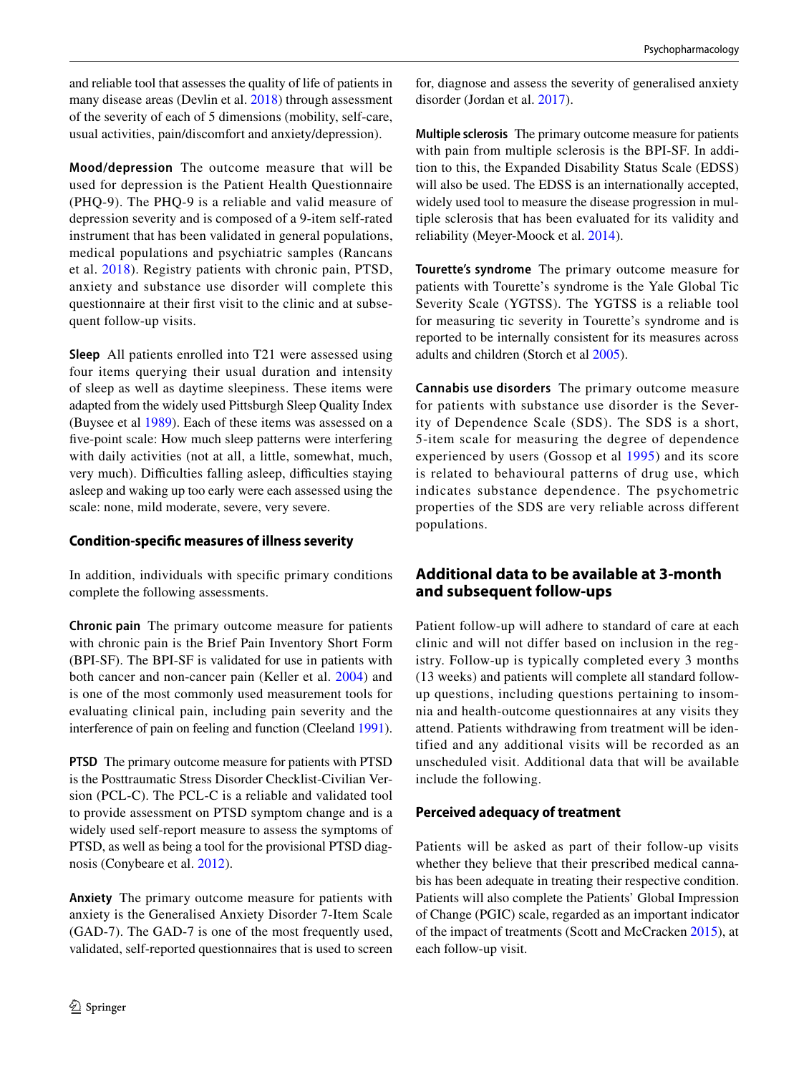and reliable tool that assesses the quality of life of patients in many disease areas (Devlin et al. [2018\)](#page-8-14) through assessment of the severity of each of 5 dimensions (mobility, self-care, usual activities, pain/discomfort and anxiety/depression).

**Mood/depression** The outcome measure that will be used for depression is the Patient Health Questionnaire (PHQ-9). The PHQ-9 is a reliable and valid measure of depression severity and is composed of a 9-item self-rated instrument that has been validated in general populations, medical populations and psychiatric samples (Rancans et al. [2018](#page-8-15)). Registry patients with chronic pain, PTSD, anxiety and substance use disorder will complete this questionnaire at their frst visit to the clinic and at subsequent follow-up visits.

**Sleep** All patients enrolled into T21 were assessed using four items querying their usual duration and intensity of sleep as well as daytime sleepiness. These items were adapted from the widely used Pittsburgh Sleep Quality Index (Buysee et al [1989\)](#page-7-1). Each of these items was assessed on a fve-point scale: How much sleep patterns were interfering with daily activities (not at all, a little, somewhat, much, very much). Difficulties falling asleep, difficulties staying asleep and waking up too early were each assessed using the scale: none, mild moderate, severe, very severe.

## **Condition‑specifc measures of illness severity**

In addition, individuals with specifc primary conditions complete the following assessments.

**Chronic pain** The primary outcome measure for patients with chronic pain is the Brief Pain Inventory Short Form (BPI-SF). The BPI-SF is validated for use in patients with both cancer and non-cancer pain (Keller et al. [2004\)](#page-8-16) and is one of the most commonly used measurement tools for evaluating clinical pain, including pain severity and the interference of pain on feeling and function (Cleeland [1991](#page-7-2)).

**PTSD** The primary outcome measure for patients with PTSD is the Posttraumatic Stress Disorder Checklist-Civilian Version (PCL-C). The PCL-C is a reliable and validated tool to provide assessment on PTSD symptom change and is a widely used self-report measure to assess the symptoms of PTSD, as well as being a tool for the provisional PTSD diagnosis (Conybeare et al. [2012\)](#page-7-3).

**Anxiety** The primary outcome measure for patients with anxiety is the Generalised Anxiety Disorder 7-Item Scale (GAD-7). The GAD-7 is one of the most frequently used, validated, self-reported questionnaires that is used to screen for, diagnose and assess the severity of generalised anxiety disorder (Jordan et al. [2017](#page-8-17)).

**Multiple sclerosis** The primary outcome measure for patients with pain from multiple sclerosis is the BPI-SF. In addition to this, the Expanded Disability Status Scale (EDSS) will also be used. The EDSS is an internationally accepted, widely used tool to measure the disease progression in multiple sclerosis that has been evaluated for its validity and reliability (Meyer-Moock et al. [2014](#page-8-18)).

**Tourette's syndrome** The primary outcome measure for patients with Tourette's syndrome is the Yale Global Tic Severity Scale (YGTSS). The YGTSS is a reliable tool for measuring tic severity in Tourette's syndrome and is reported to be internally consistent for its measures across adults and children (Storch et al [2005\)](#page-8-19).

**Cannabis use disorders** The primary outcome measure for patients with substance use disorder is the Severity of Dependence Scale (SDS). The SDS is a short, 5-item scale for measuring the degree of dependence experienced by users (Gossop et al [1995\)](#page-8-20) and its score is related to behavioural patterns of drug use, which indicates substance dependence. The psychometric properties of the SDS are very reliable across different populations.

# **Additional data to be available at 3‑month and subsequent follow‑ups**

Patient follow-up will adhere to standard of care at each clinic and will not differ based on inclusion in the registry. Follow-up is typically completed every 3 months (13 weeks) and patients will complete all standard followup questions, including questions pertaining to insomnia and health-outcome questionnaires at any visits they attend. Patients withdrawing from treatment will be identified and any additional visits will be recorded as an unscheduled visit. Additional data that will be available include the following.

## **Perceived adequacy of treatment**

Patients will be asked as part of their follow-up visits whether they believe that their prescribed medical cannabis has been adequate in treating their respective condition. Patients will also complete the Patients' Global Impression of Change (PGIC) scale, regarded as an important indicator of the impact of treatments (Scott and McCracken [2015\)](#page-8-21), at each follow-up visit.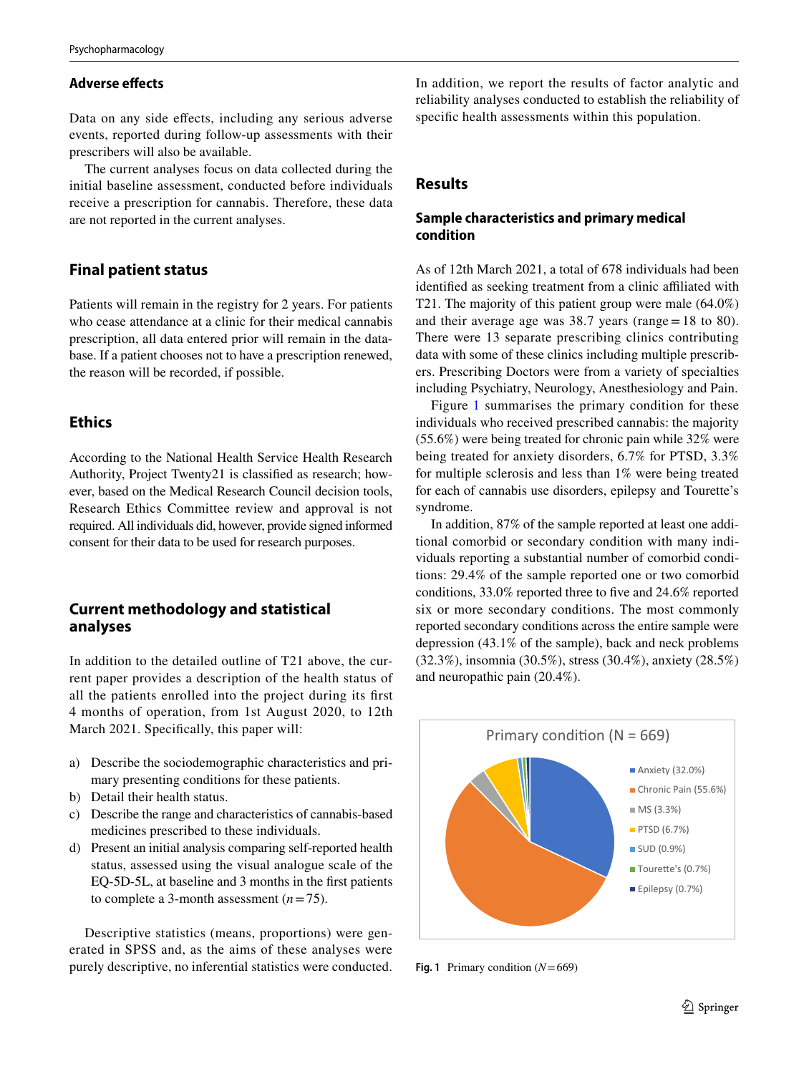## **Adverse efects**

Data on any side efects, including any serious adverse events, reported during follow-up assessments with their prescribers will also be available.

The current analyses focus on data collected during the initial baseline assessment, conducted before individuals receive a prescription for cannabis. Therefore, these data are not reported in the current analyses.

# **Final patient status**

Patients will remain in the registry for 2 years. For patients who cease attendance at a clinic for their medical cannabis prescription, all data entered prior will remain in the database. If a patient chooses not to have a prescription renewed, the reason will be recorded, if possible.

# **Ethics**

According to the National Health Service Health Research Authority, Project Twenty21 is classifed as research; however, based on the Medical Research Council decision tools, Research Ethics Committee review and approval is not required. All individuals did, however, provide signed informed consent for their data to be used for research purposes.

# **Current methodology and statistical analyses**

In addition to the detailed outline of T21 above, the current paper provides a description of the health status of all the patients enrolled into the project during its frst 4 months of operation, from 1st August 2020, to 12th March 2021. Specifically, this paper will:

- a) Describe the sociodemographic characteristics and primary presenting conditions for these patients.
- b) Detail their health status.
- c) Describe the range and characteristics of cannabis-based medicines prescribed to these individuals.
- d) Present an initial analysis comparing self-reported health status, assessed using the visual analogue scale of the EQ-5D-5L, at baseline and 3 months in the frst patients to complete a 3-month assessment (*n*=75).

Descriptive statistics (means, proportions) were generated in SPSS and, as the aims of these analyses were purely descriptive, no inferential statistics were conducted. In addition, we report the results of factor analytic and reliability analyses conducted to establish the reliability of specifc health assessments within this population.

# **Results**

# **Sample characteristics and primary medical condition**

As of 12th March 2021, a total of 678 individuals had been identified as seeking treatment from a clinic affiliated with T21. The majority of this patient group were male (64.0%) and their average age was 38.7 years (range=18 to 80). There were 13 separate prescribing clinics contributing data with some of these clinics including multiple prescribers. Prescribing Doctors were from a variety of specialties including Psychiatry, Neurology, Anesthesiology and Pain.

Figure [1](#page-4-0) summarises the primary condition for these individuals who received prescribed cannabis: the majority (55.6%) were being treated for chronic pain while 32% were being treated for anxiety disorders, 6.7% for PTSD, 3.3% for multiple sclerosis and less than 1% were being treated for each of cannabis use disorders, epilepsy and Tourette's syndrome.

In addition, 87% of the sample reported at least one additional comorbid or secondary condition with many individuals reporting a substantial number of comorbid conditions: 29.4% of the sample reported one or two comorbid conditions, 33.0% reported three to fve and 24.6% reported six or more secondary conditions. The most commonly reported secondary conditions across the entire sample were depression (43.1% of the sample), back and neck problems (32.3%), insomnia (30.5%), stress (30.4%), anxiety (28.5%) and neuropathic pain (20.4%).



<span id="page-4-0"></span>**Fig. 1** Primary condition (*N*=669)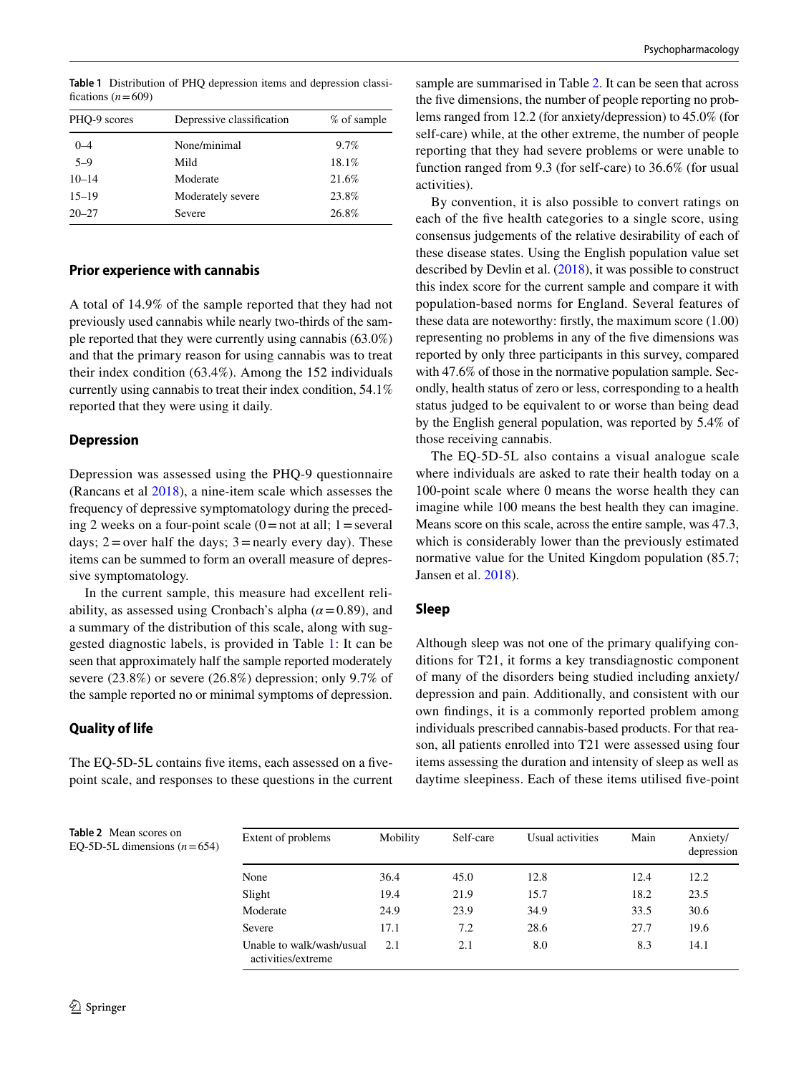| PHO-9 scores | Depressive classification | % of sample |
|--------------|---------------------------|-------------|
| $0 - 4$      | None/minimal              | 9.7%        |
| $5 - 9$      | Mild                      | 18.1%       |
| $10 - 14$    | Moderate                  | 21.6%       |
| $15 - 19$    | Moderately severe         | 23.8%       |
| $20 - 27$    | Severe                    | 26.8%       |

<span id="page-5-0"></span>**Table 1** Distribution of PHQ depression items and depression classifications  $(n=609)$ 

#### **Prior experience with cannabis**

A total of 14.9% of the sample reported that they had not previously used cannabis while nearly two-thirds of the sample reported that they were currently using cannabis (63.0%) and that the primary reason for using cannabis was to treat their index condition (63.4%). Among the 152 individuals currently using cannabis to treat their index condition, 54.1% reported that they were using it daily.

#### **Depression**

Depression was assessed using the PHQ-9 questionnaire (Rancans et al [2018](#page-8-15)), a nine-item scale which assesses the frequency of depressive symptomatology during the preceding 2 weeks on a four-point scale  $(0=$  not at all; 1 = several days;  $2 =$  over half the days;  $3 =$  nearly every day). These items can be summed to form an overall measure of depressive symptomatology.

In the current sample, this measure had excellent reliability, as assessed using Cronbach's alpha ( $\alpha$  = 0.89), and a summary of the distribution of this scale, along with suggested diagnostic labels, is provided in Table [1:](#page-5-0) It can be seen that approximately half the sample reported moderately severe (23.8%) or severe (26.8%) depression; only 9.7% of the sample reported no or minimal symptoms of depression.

### **Quality of life**

The EQ-5D-5L contains fve items, each assessed on a fvepoint scale, and responses to these questions in the current sample are summarised in Table [2](#page-5-1). It can be seen that across the five dimensions, the number of people reporting no problems ranged from 12.2 (for anxiety/depression) to 45.0% (for self-care) while, at the other extreme, the number of people reporting that they had severe problems or were unable to function ranged from 9.3 (for self-care) to 36.6% (for usual activities).

By convention, it is also possible to convert ratings on each of the fve health categories to a single score, using consensus judgements of the relative desirability of each of these disease states. Using the English population value set described by Devlin et al. ([2018\)](#page-8-14), it was possible to construct this index score for the current sample and compare it with population-based norms for England. Several features of these data are noteworthy: frstly, the maximum score (1.00) representing no problems in any of the fve dimensions was reported by only three participants in this survey, compared with 47.6% of those in the normative population sample. Secondly, health status of zero or less, corresponding to a health status judged to be equivalent to or worse than being dead by the English general population, was reported by 5.4% of those receiving cannabis.

The EQ-5D-5L also contains a visual analogue scale where individuals are asked to rate their health today on a 100-point scale where 0 means the worse health they can imagine while 100 means the best health they can imagine. Means score on this scale, across the entire sample, was 47.3, which is considerably lower than the previously estimated normative value for the United Kingdom population (85.7; Jansen et al. [2018\)](#page-8-22).

### **Sleep**

Although sleep was not one of the primary qualifying conditions for T21, it forms a key transdiagnostic component of many of the disorders being studied including anxiety/ depression and pain. Additionally, and consistent with our own fndings, it is a commonly reported problem among individuals prescribed cannabis-based products. For that reason, all patients enrolled into T21 were assessed using four items assessing the duration and intensity of sleep as well as daytime sleepiness. Each of these items utilised fve-point

| <b>Table 2</b> Mean scores on |
|-------------------------------|
| EO-5D-5L dimensions $(n=654)$ |

<span id="page-5-1"></span>

| Extent of problems                              | Mobility | Self-care | Usual activities | Main | Anxiety/<br>depression |
|-------------------------------------------------|----------|-----------|------------------|------|------------------------|
| None                                            | 36.4     | 45.0      | 12.8             | 12.4 | 12.2                   |
| Slight                                          | 19.4     | 21.9      | 15.7             | 18.2 | 23.5                   |
| Moderate                                        | 24.9     | 23.9      | 34.9             | 33.5 | 30.6                   |
| Severe                                          | 17.1     | 7.2       | 28.6             | 27.7 | 19.6                   |
| Unable to walk/wash/usual<br>activities/extreme | 2.1      | 2.1       | 8.0              | 8.3  | 14.1                   |
|                                                 |          |           |                  |      |                        |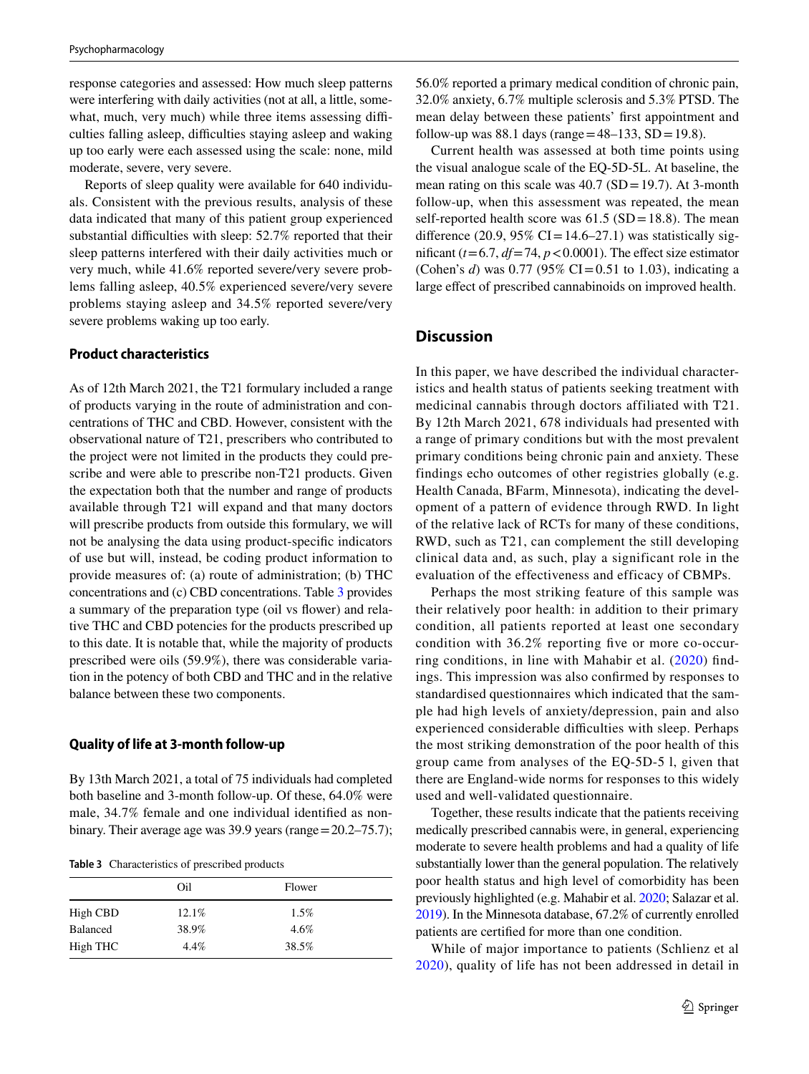response categories and assessed: How much sleep patterns were interfering with daily activities (not at all, a little, somewhat, much, very much) while three items assessing difficulties falling asleep, difficulties staying asleep and waking up too early were each assessed using the scale: none, mild moderate, severe, very severe.

Reports of sleep quality were available for 640 individuals. Consistent with the previous results, analysis of these data indicated that many of this patient group experienced substantial difficulties with sleep: 52.7% reported that their sleep patterns interfered with their daily activities much or very much, while 41.6% reported severe/very severe problems falling asleep, 40.5% experienced severe/very severe problems staying asleep and 34.5% reported severe/very severe problems waking up too early.

### **Product characteristics**

As of 12th March 2021, the T21 formulary included a range of products varying in the route of administration and concentrations of THC and CBD. However, consistent with the observational nature of T21, prescribers who contributed to the project were not limited in the products they could prescribe and were able to prescribe non-T21 products. Given the expectation both that the number and range of products available through T21 will expand and that many doctors will prescribe products from outside this formulary, we will not be analysing the data using product-specifc indicators of use but will, instead, be coding product information to provide measures of: (a) route of administration; (b) THC concentrations and (c) CBD concentrations. Table [3](#page-6-0) provides a summary of the preparation type (oil vs fower) and relative THC and CBD potencies for the products prescribed up to this date. It is notable that, while the majority of products prescribed were oils (59.9%), there was considerable variation in the potency of both CBD and THC and in the relative balance between these two components.

#### **Quality of life at 3‑month follow‑up**

By 13th March 2021, a total of 75 individuals had completed both baseline and 3-month follow-up. Of these, 64.0% were male, 34.7% female and one individual identifed as nonbinary. Their average age was 39.9 years (range=20.2–75.7);

<span id="page-6-0"></span>**Table 3** Characteristics of prescribed products

|                 | Oil   | Flower |  |
|-----------------|-------|--------|--|
| High CBD        | 12.1% | 1.5%   |  |
| <b>Balanced</b> | 38.9% | 4.6%   |  |
| High THC        | 4.4%  | 38.5%  |  |

56.0% reported a primary medical condition of chronic pain, 32.0% anxiety, 6.7% multiple sclerosis and 5.3% PTSD. The mean delay between these patients' frst appointment and follow-up was 88.1 days (range =  $48-133$ , SD = 19.8).

Current health was assessed at both time points using the visual analogue scale of the EQ-5D-5L. At baseline, the mean rating on this scale was  $40.7$  (SD = 19.7). At 3-month follow-up, when this assessment was repeated, the mean self-reported health score was  $61.5$  (SD=18.8). The mean difference (20.9, 95% CI=14.6–27.1) was statistically significant  $(t=6.7, df=74, p<0.0001)$ . The effect size estimator (Cohen's *d*) was 0.77 (95% CI=0.51 to 1.03), indicating a large efect of prescribed cannabinoids on improved health.

### **Discussion**

In this paper, we have described the individual characteristics and health status of patients seeking treatment with medicinal cannabis through doctors affiliated with T21. By 12th March 2021, 678 individuals had presented with a range of primary conditions but with the most prevalent primary conditions being chronic pain and anxiety. These findings echo outcomes of other registries globally (e.g. Health Canada, BFarm, Minnesota), indicating the development of a pattern of evidence through RWD. In light of the relative lack of RCTs for many of these conditions, RWD, such as T21, can complement the still developing clinical data and, as such, play a significant role in the evaluation of the effectiveness and efficacy of CBMPs.

Perhaps the most striking feature of this sample was their relatively poor health: in addition to their primary condition, all patients reported at least one secondary condition with 36.2% reporting fve or more co-occurring conditions, in line with Mahabir et al. ([2020\)](#page-8-8) fndings. This impression was also confrmed by responses to standardised questionnaires which indicated that the sample had high levels of anxiety/depression, pain and also experienced considerable difficulties with sleep. Perhaps the most striking demonstration of the poor health of this group came from analyses of the EQ-5D-5 l, given that there are England-wide norms for responses to this widely used and well-validated questionnaire.

Together, these results indicate that the patients receiving medically prescribed cannabis were, in general, experiencing moderate to severe health problems and had a quality of life substantially lower than the general population. The relatively poor health status and high level of comorbidity has been previously highlighted (e.g. Mahabir et al. [2020](#page-8-8); Salazar et al. [2019\)](#page-8-23). In the Minnesota database, 67.2% of currently enrolled patients are certifed for more than one condition.

While of major importance to patients (Schlienz et al [2020](#page-8-24)), quality of life has not been addressed in detail in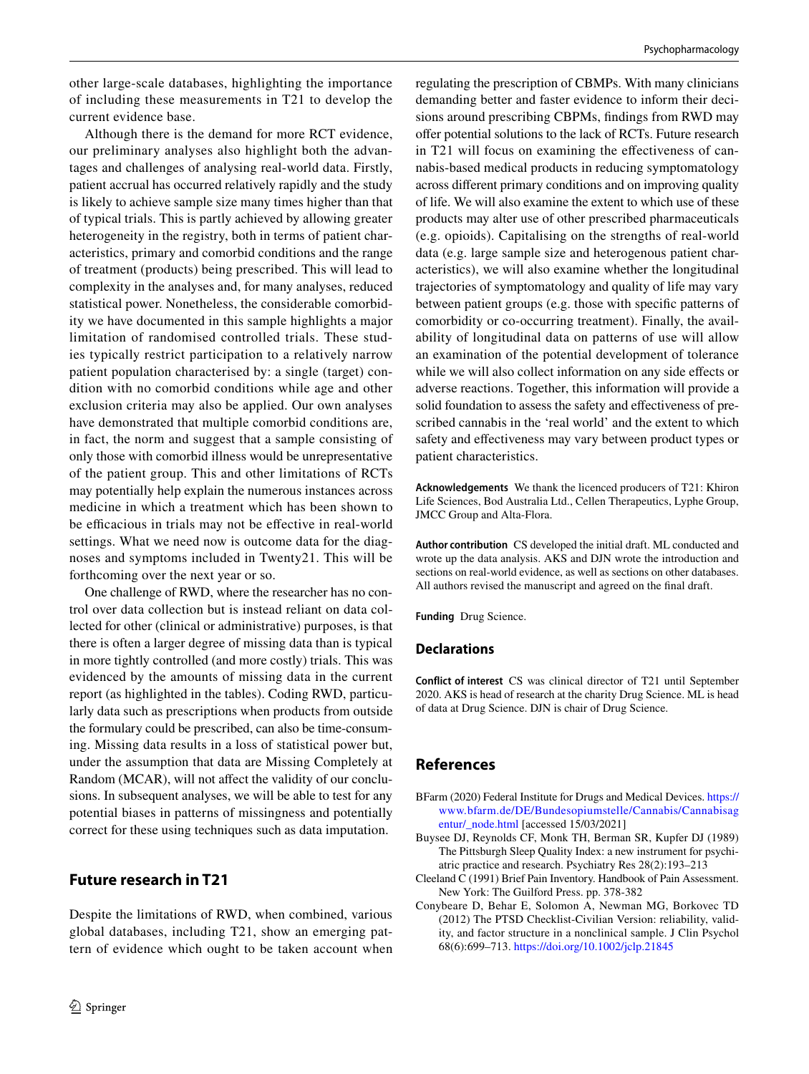other large-scale databases, highlighting the importance of including these measurements in T21 to develop the current evidence base.

Although there is the demand for more RCT evidence, our preliminary analyses also highlight both the advantages and challenges of analysing real-world data. Firstly, patient accrual has occurred relatively rapidly and the study is likely to achieve sample size many times higher than that of typical trials. This is partly achieved by allowing greater heterogeneity in the registry, both in terms of patient characteristics, primary and comorbid conditions and the range of treatment (products) being prescribed. This will lead to complexity in the analyses and, for many analyses, reduced statistical power. Nonetheless, the considerable comorbidity we have documented in this sample highlights a major limitation of randomised controlled trials. These studies typically restrict participation to a relatively narrow patient population characterised by: a single (target) condition with no comorbid conditions while age and other exclusion criteria may also be applied. Our own analyses have demonstrated that multiple comorbid conditions are, in fact, the norm and suggest that a sample consisting of only those with comorbid illness would be unrepresentative of the patient group. This and other limitations of RCTs may potentially help explain the numerous instances across medicine in which a treatment which has been shown to be efficacious in trials may not be effective in real-world settings. What we need now is outcome data for the diagnoses and symptoms included in Twenty21. This will be forthcoming over the next year or so.

One challenge of RWD, where the researcher has no control over data collection but is instead reliant on data collected for other (clinical or administrative) purposes, is that there is often a larger degree of missing data than is typical in more tightly controlled (and more costly) trials. This was evidenced by the amounts of missing data in the current report (as highlighted in the tables). Coding RWD, particularly data such as prescriptions when products from outside the formulary could be prescribed, can also be time-consuming. Missing data results in a loss of statistical power but, under the assumption that data are Missing Completely at Random (MCAR), will not affect the validity of our conclusions. In subsequent analyses, we will be able to test for any potential biases in patterns of missingness and potentially correct for these using techniques such as data imputation.

# **Future research in T21**

Despite the limitations of RWD, when combined, various global databases, including T21, show an emerging pattern of evidence which ought to be taken account when regulating the prescription of CBMPs. With many clinicians demanding better and faster evidence to inform their decisions around prescribing CBPMs, fndings from RWD may offer potential solutions to the lack of RCTs. Future research in T21 will focus on examining the efectiveness of cannabis-based medical products in reducing symptomatology across diferent primary conditions and on improving quality of life. We will also examine the extent to which use of these products may alter use of other prescribed pharmaceuticals (e.g. opioids). Capitalising on the strengths of real-world data (e.g. large sample size and heterogenous patient characteristics), we will also examine whether the longitudinal trajectories of symptomatology and quality of life may vary between patient groups (e.g. those with specifc patterns of comorbidity or co-occurring treatment). Finally, the availability of longitudinal data on patterns of use will allow an examination of the potential development of tolerance while we will also collect information on any side effects or adverse reactions. Together, this information will provide a solid foundation to assess the safety and efectiveness of prescribed cannabis in the 'real world' and the extent to which safety and efectiveness may vary between product types or patient characteristics.

**Acknowledgements** We thank the licenced producers of T21: Khiron Life Sciences, Bod Australia Ltd., Cellen Therapeutics, Lyphe Group, JMCC Group and Alta-Flora.

**Author contribution** CS developed the initial draft. ML conducted and wrote up the data analysis. AKS and DJN wrote the introduction and sections on real-world evidence, as well as sections on other databases. All authors revised the manuscript and agreed on the fnal draft.

**Funding** Drug Science.

#### **Declarations**

**Conflict of interest** CS was clinical director of T21 until September 2020. AKS is head of research at the charity Drug Science. ML is head of data at Drug Science. DJN is chair of Drug Science.

## **References**

- <span id="page-7-0"></span>BFarm (2020) Federal Institute for Drugs and Medical Devices. [https://](https://www.bfarm.de/DE/Bundesopiumstelle/Cannabis/Cannabisagentur/_node.html) [www.bfarm.de/DE/Bundesopiumstelle/Cannabis/Cannabisag](https://www.bfarm.de/DE/Bundesopiumstelle/Cannabis/Cannabisagentur/_node.html) [entur/\\_node.html](https://www.bfarm.de/DE/Bundesopiumstelle/Cannabis/Cannabisagentur/_node.html) [accessed 15/03/2021]
- <span id="page-7-1"></span>Buysee DJ, Reynolds CF, Monk TH, Berman SR, Kupfer DJ (1989) The Pittsburgh Sleep Quality Index: a new instrument for psychiatric practice and research. Psychiatry Res 28(2):193–213
- <span id="page-7-2"></span>Cleeland C (1991) Brief Pain Inventory. Handbook of Pain Assessment. New York: The Guilford Press. pp. 378-382
- <span id="page-7-3"></span>Conybeare D, Behar E, Solomon A, Newman MG, Borkovec TD (2012) The PTSD Checklist-Civilian Version: reliability, validity, and factor structure in a nonclinical sample. J Clin Psychol 68(6):699–713.<https://doi.org/10.1002/jclp.21845>